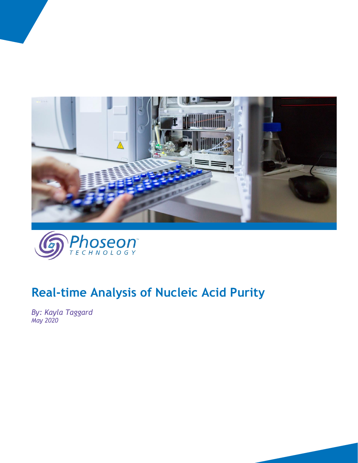



# **Real-time Analysis of Nucleic Acid Purity**

*By: Kayla Taggard May 2020*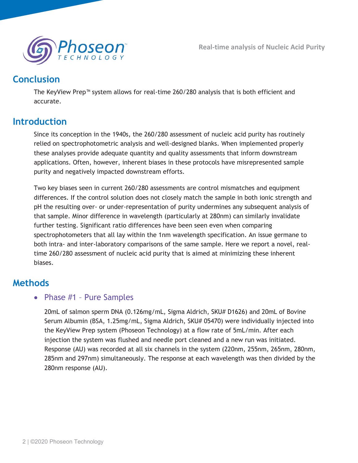

# **Conclusion**

The KeyView Prep™ system allows for real-time 260/280 analysis that is both efficient and accurate.

# **Introduction**

Since its conception in the 1940s, the 260/280 assessment of nucleic acid purity has routinely relied on spectrophotometric analysis and well-designed blanks. When implemented properly these analyses provide adequate quantity and quality assessments that inform downstream applications. Often, however, inherent biases in these protocols have misrepresented sample purity and negatively impacted downstream efforts.

Two key biases seen in current 260/280 assessments are control mismatches and equipment differences. If the control solution does not closely match the sample in both ionic strength and pH the resulting over- or under-representation of purity undermines any subsequent analysis of that sample. Minor difference in wavelength (particularly at 280nm) can similarly invalidate further testing. Significant ratio differences have been seen even when comparing spectrophotometers that all lay within the 1nm wavelength specification. An issue germane to both intra- and inter-laboratory comparisons of the same sample. Here we report a novel, realtime 260/280 assessment of nucleic acid purity that is aimed at minimizing these inherent biases.

# **Methods**

## • Phase #1 - Pure Samples

20mL of salmon sperm DNA (0.126mg/mL, Sigma Aldrich, SKU# D1626) and 20mL of Bovine Serum Albumin (BSA, 1.25mg/mL, Sigma Aldrich, SKU# 05470) were individually injected into the KeyView Prep system (Phoseon Technology) at a flow rate of 5mL/min. After each injection the system was flushed and needle port cleaned and a new run was initiated. Response (AU) was recorded at all six channels in the system (220nm, 255nm, 265nm, 280nm, 285nm and 297nm) simultaneously. The response at each wavelength was then divided by the 280nm response (AU).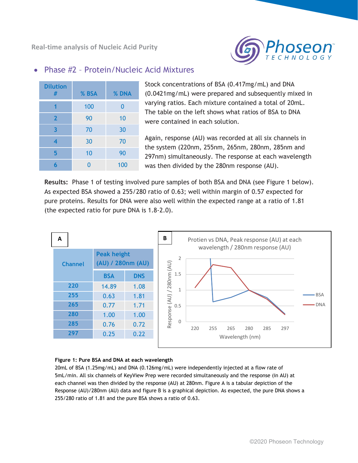**Real-time analysis of Nucleic Acid Purity**



### • Phase #2 - Protein/Nucleic Acid Mixtures

| <b>Dilution</b><br># | % BSA | % DNA    |
|----------------------|-------|----------|
|                      | 100   | $\Omega$ |
| $\mathbf{2}$         | 90    | 10       |
| 3                    | 70    | 30       |
| 4                    | 30    | 70       |
| 5                    | 10    | 90       |
|                      | በ     | 100      |

Stock concentrations of BSA (0.417mg/mL) and DNA (0.0421mg/mL) were prepared and subsequently mixed in varying ratios. Each mixture contained a total of 20mL. The table on the left shows what ratios of BSA to DNA were contained in each solution.

Again, response (AU) was recorded at all six channels in the system (220nm, 255nm, 265nm, 280nm, 285nm and 297nm) simultaneously. The response at each wavelength was then divided by the 280nm response (AU).

**Results:** Phase 1 of testing involved pure samples of both BSA and DNA (see Figure 1 below). As expected BSA showed a 255/280 ratio of 0.63; well within margin of 0.57 expected for pure proteins. Results for DNA were also well within the expected range at a ratio of 1.81 (the expected ratio for pure DNA is 1.8-2.0).



#### **Figure 1: Pure BSA and DNA at each wavelength**

20mL of BSA (1.25mg/mL) and DNA (0.126mg/mL) were independently injected at a flow rate of 5mL/min. All six channels of KeyView Prep were recorded simultaneously and the response (in AU) at each channel was then divided by the response (AU) at 280nm. Figure A is a tabular depiction of the Response (AU)/280nm (AU) data and figure B is a graphical depiction. As expected, the pure DNA shows a 255/280 ratio of 1.81 and the pure BSA shows a ratio of 0.63.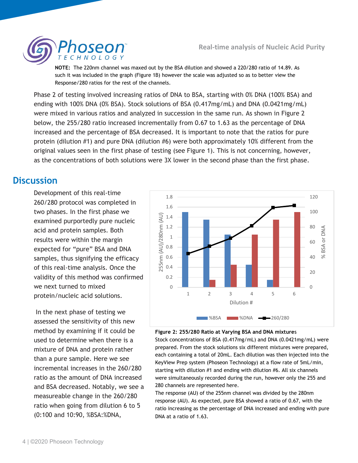

**NOTE:** The 220nm channel was maxed out by the BSA dilution and showed a 220/280 ratio of 14.89. As such it was included in the graph (Figure 1B) however the scale was adjusted so as to better view the Response/280 ratios for the rest of the channels.

Phase 2 of testing involved increasing ratios of DNA to BSA, starting with 0% DNA (100% BSA) and ending with 100% DNA (0% BSA). Stock solutions of BSA (0.417mg/mL) and DNA (0.0421mg/mL) were mixed in various ratios and analyzed in succession in the same run. As shown in Figure 2 below, the 255/280 ratio increased incrementally from 0.67 to 1.63 as the percentage of DNA increased and the percentage of BSA decreased. It is important to note that the ratios for pure protein (dilution #1) and pure DNA (dilution #6) were both approximately 10% different from the original values seen in the first phase of testing (see Figure 1). This is not concerning, however, as the concentrations of both solutions were 3X lower in the second phase than the first phase.

# **Discussion**

Development of this real-time 260/280 protocol was completed in two phases. In the first phase we examined purportedly pure nucleic acid and protein samples. Both results were within the margin expected for "pure" BSA and DNA samples, thus signifying the efficacy of this real-time analysis. Once the validity of this method was confirmed we next turned to mixed protein/nucleic acid solutions.

 In the next phase of testing we assessed the sensitivity of this new method by examining if it could be used to determine when there is a mixture of DNA and protein rather than a pure sample. Here we see incremental increases in the 260/280 ratio as the amount of DNA increased and BSA decreased. Notably, we see a measureable change in the 260/280 ratio when going from dilution 6 to 5 (0:100 and 10:90, %BSA:%DNA,



#### **Figure 2: 255/280 Ratio at Varying BSA and DNA mixture**s

Stock concentrations of BSA (0.417mg/mL) and DNA (0.0421mg/mL) were prepared. From the stock solutions six different mixtures were prepared, each containing a total of 20mL. Each dilution was then injected into the KeyView Prep system (Phoseon Technology) at a flow rate of 5mL/min, starting with dilution #1 and ending with dilution #6. All six channels were simultaneously recorded during the run, however only the 255 and 280 channels are represented here.

The response (AU) of the 255nm channel was divided by the 280nm response (AU). As expected, pure BSA showed a ratio of 0.67, with the ratio increasing as the percentage of DNA increased and ending with pure DNA at a ratio of 1.63.